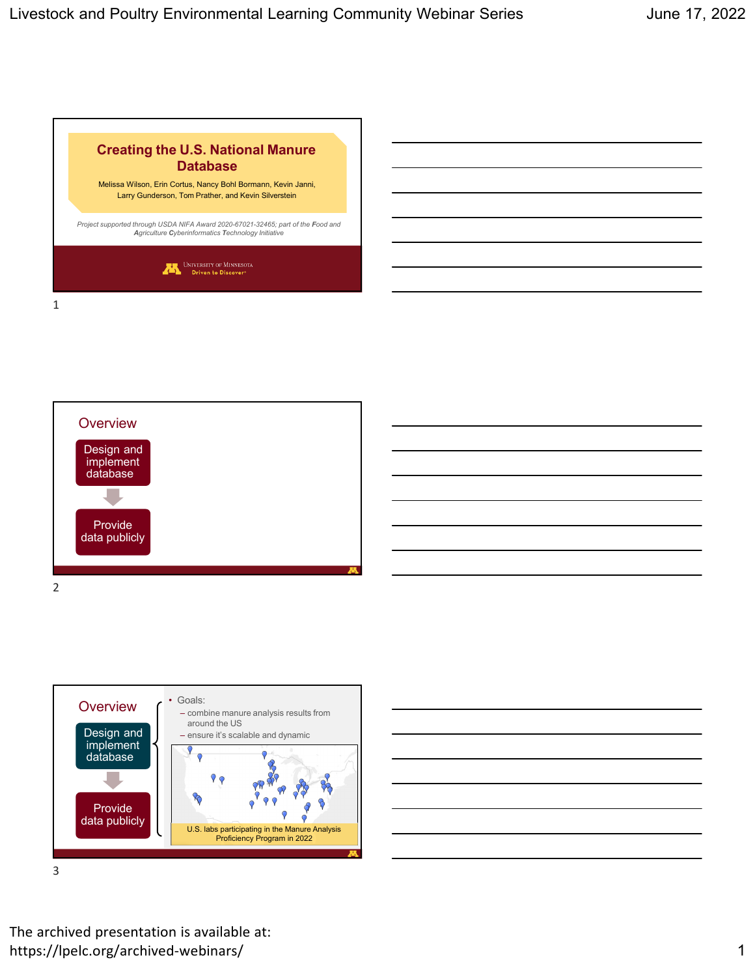







The archived presentation is available at: https://lpelc.org/archived-webinars/ 1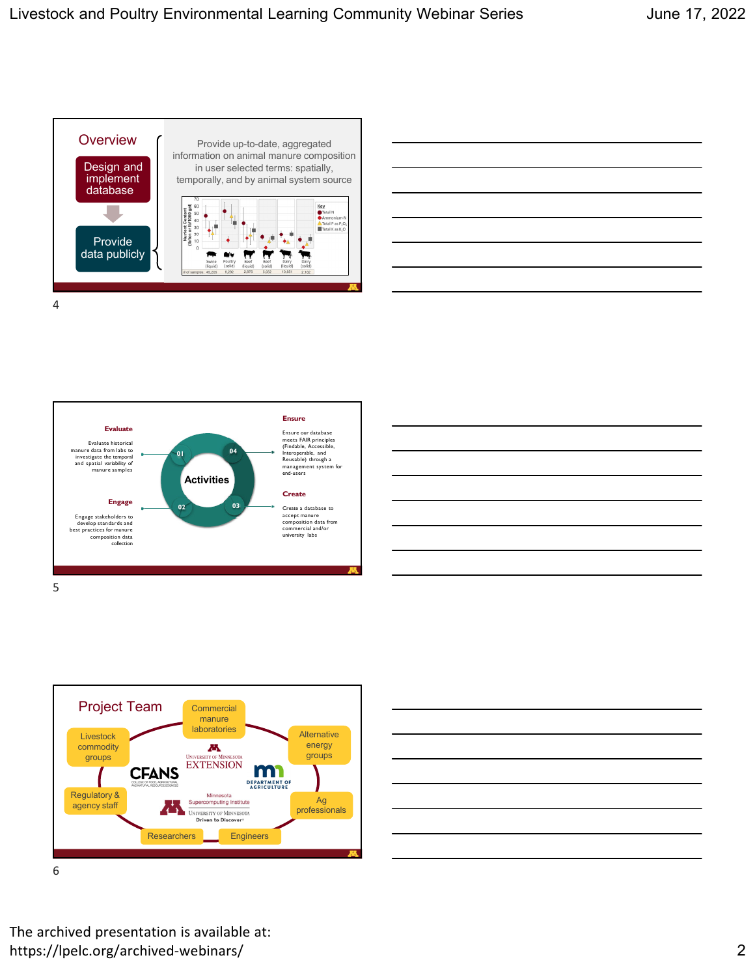













The archived presentation is available at: https://lpelc.org/archived‐webinars/ 2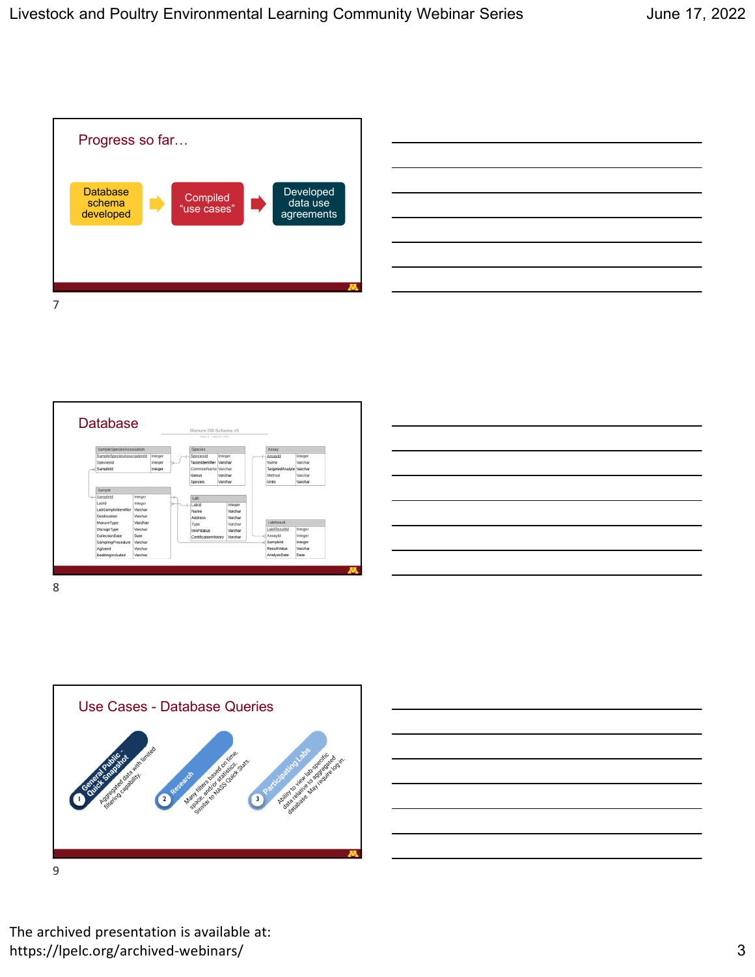











The archived presentation is available at: https://lpelc.org/archived-webinars/ 3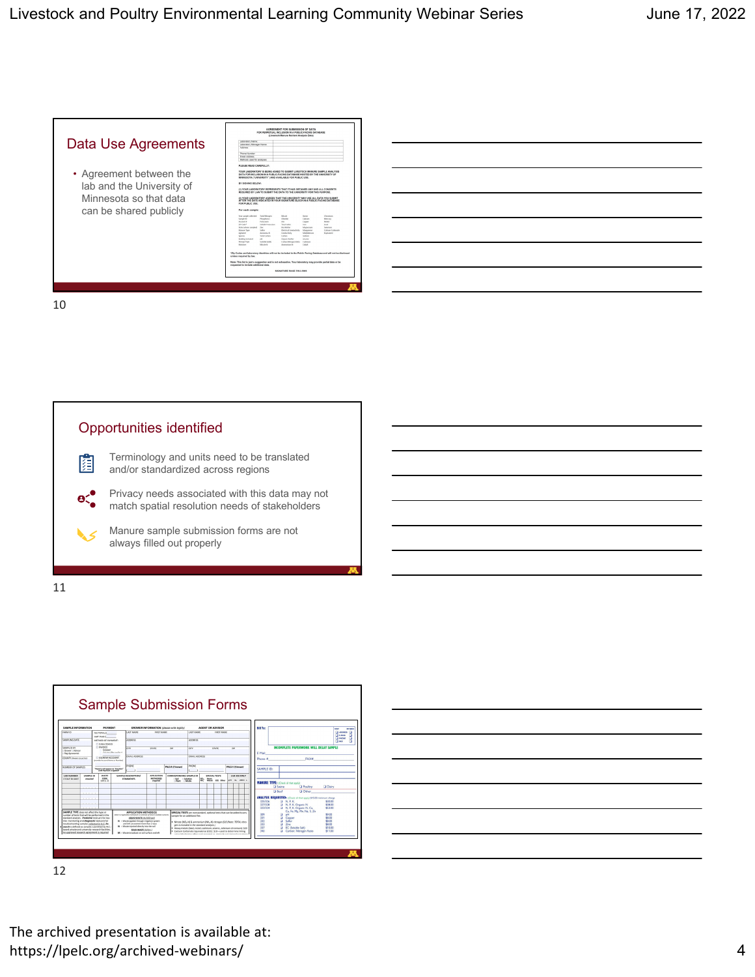

10





| <u> 1989 - Johann Stoff, amerikansk politiker (d. 1989)</u> |  |  |
|-------------------------------------------------------------|--|--|
|                                                             |  |  |
|                                                             |  |  |
|                                                             |  |  |

The archived presentation is available at: https://lpelc.org/archived-webinars/ 4